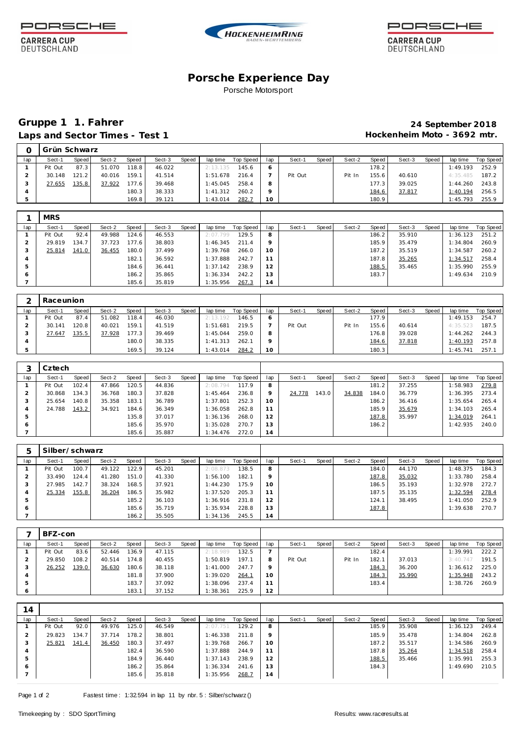

**CARRERA CUP** 

DEUTSCHLAND





**CARRERA CUP** DEUTSCHLAND

## **Porsche Experience Day** Porsche Motorsport

# **Gruppe 1 1. Fahrer 24 September 2018** Laps and Sector Times - Test 1 **Acceleration 12 and Sector Times - Test 1 Hockenheim Moto - 3692 mtr.**

|     | Grün Schwarz |       |        |       |        |       |          |           |         |         |       |        |       |        |       |          |                  |
|-----|--------------|-------|--------|-------|--------|-------|----------|-----------|---------|---------|-------|--------|-------|--------|-------|----------|------------------|
| lap | Sect-1       | Speed | Sect-2 | Speed | Sect-3 | Speed | lap time | Top Speed | lap     | Sect-1  | Speed | Sect-2 | Speed | Sect-3 | Speed | lap time | <b>Top Speed</b> |
|     | Pit Out      | 87.3  | 51.070 | 118.8 | 46.022 |       | 2:13.135 | 145.6     | O       |         |       |        | 178.2 |        |       | 1:49.193 | 252.9            |
|     | 30.148       | 121.2 | 40.016 | 159.1 | 41.514 |       | 1:51.678 | 216.4     |         | Pit Out |       | Pit In | 155.6 | 40.610 |       | 4:35.485 | 187.2            |
|     | 27.655       | 135.8 | 37.922 | 177.6 | 39.468 |       | 1:45.045 | 258.4     | 8       |         |       |        | 177.3 | 39.025 |       | 1:44.260 | 243.8            |
| 4   |              |       |        | 180.3 | 38.333 |       | 1:41.312 | 260.2     | $\circ$ |         |       |        | 184.6 | 37.817 |       | 1:40.194 | 256.5            |
|     |              |       |        | 169.8 | 39.121 |       | 1:43.014 | 282.7     | 10      |         |       |        | 180.9 |        |       | 1:45.793 | 255.9            |

|              | <b>MRS</b> |       |        |       |        |       |          |           |                 |        |       |        |       |        |       |          |           |
|--------------|------------|-------|--------|-------|--------|-------|----------|-----------|-----------------|--------|-------|--------|-------|--------|-------|----------|-----------|
| lap          | Sect-1     | Speed | Sect-2 | Speed | Sect-3 | Speed | lap time | Top Speed | lap             | Sect-1 | Speed | Sect-2 | Speed | Sect-3 | Speed | lap time | Top Speed |
|              | Pit Out    | 92.4  | 49.988 | 124.6 | 46.553 |       | 2:07.799 | 129.5     | 8               |        |       |        | 186.2 | 35.910 |       | 1:36.123 | 251.2     |
|              | 29.819     | 134.7 | 37.723 | 177.6 | 38.803 |       | 1:46.345 | 211.4     | $\circ$         |        |       |        | 185.9 | 35.479 |       | 1:34.804 | 260.9     |
| 3            | 25.814     | 141.0 | 36.455 | 180.0 | 37.499 |       | 1:39.768 | 266.0     | 10 <sup>°</sup> |        |       |        | 187.2 | 35.519 |       | 1:34.587 | 260.2     |
| 4            |            |       |        | 182.1 | 36.592 |       | 1:37.888 | 242.7     | 11              |        |       |        | 187.8 | 35.265 |       | 1:34.517 | 258.4     |
| 5            |            |       |        | 184.6 | 36.441 |       | 1:37.142 | 238.9     | 12              |        |       |        | 188.5 | 35.465 |       | 1:35.990 | 255.9     |
| <sub>6</sub> |            |       |        | 186.2 | 35.865 |       | 1:36.334 | 242.2     | 13              |        |       |        | 183.7 |        |       | 1:49.634 | 210.9     |
|              |            |       |        | 185.6 | 35.819 |       | 1:35.956 | 267.3     | 14              |        |       |        |       |        |       |          |           |

|     | Raceunion |        |        |       |        |       |          |           |         |         |       |        |       |        |       |          |           |
|-----|-----------|--------|--------|-------|--------|-------|----------|-----------|---------|---------|-------|--------|-------|--------|-------|----------|-----------|
| lap | Sect-1    | Speed  | Sect-2 | Speed | Sect-3 | Speed | lap time | Top Speed | lap     | Sect-1  | Speed | Sect-2 | Speed | Sect-3 | Speed | lap time | Top Speed |
|     | Pit Out   | 87.4   | 51.082 | 118.4 | 46.030 |       | 2:13.192 | 146.5     | 6       |         |       |        | 177.9 |        |       | 1:49.153 | 254.7     |
|     | 30.141    | 120.81 | 40.021 | 159.1 | 41.519 |       | 1:51.681 | 219.5     |         | Pit Out |       | Pit In | 155.6 | 40.614 |       | 4:35.523 | 187.5     |
|     | 27.647    | 135.5  | 37.928 | 77.3  | 39.469 |       | 1:45.044 | 259.0     |         |         |       |        | 176.8 | 39.028 |       | 1:44.262 | 244.3     |
| 4   |           |        |        | 180.0 | 38.335 |       | 1:41.313 | 262.1     | $\circ$ |         |       |        | 184.6 | 37.818 |       | 1:40.193 | 257.8     |
|     |           |        |        | 169.5 | 39.124 |       | 1:43.014 | 284.2     | 10      |         |       |        | 180.3 |        |       | 1:45.741 | 257.      |

|     | Cztech  |       |        |       |        |       |          |           |     |        |       |        |       |        |       |          |           |
|-----|---------|-------|--------|-------|--------|-------|----------|-----------|-----|--------|-------|--------|-------|--------|-------|----------|-----------|
| lap | Sect-1  | Speed | Sect-2 | Speed | Sect-3 | Speed | lap time | Top Speed | lap | Sect-1 | Speed | Sect-2 | Speed | Sect-3 | Speed | lap time | Top Speed |
|     | Pit Out | 102.4 | 47.866 | 120.5 | 44.836 |       | 2:08.794 | 117.9     | 8   |        |       |        | 181.2 | 37.255 |       | :58.983  | 279.8     |
|     | 30.868  | 134.3 | 36.768 | 180.3 | 37.828 |       | 1:45.464 | 236.8     |     | 24.778 | 143.0 | 34.838 | 184.0 | 36.779 |       | 1:36.395 | 273.4     |
|     | 25.654  | 140.8 | 35.358 | 183.1 | 36.789 |       | 1:37.801 | 252.3     | 10  |        |       |        | 186.2 | 36.416 |       | 1:35.654 | 265.4     |
|     | 24.788  | 143.2 | 34.921 | 184.6 | 36.349 |       | 1:36.058 | 262.8     |     |        |       |        | 185.9 | 35.679 |       | 1:34.103 | 265.4     |
|     |         |       |        | 135.8 | 37.017 |       | 1:36.136 | 268.0     | 12  |        |       |        | 187.8 | 35.997 |       | 1:34.019 | 264.7     |
| c   |         |       |        | 185.6 | 35.970 |       | 1:35.028 | 270.7     | 13  |        |       |        | 186.2 |        |       | 1:42.935 | 240.0     |
|     |         |       |        | 185.6 | 35.887 |       | 1:34.476 | 272.0     | 14  |        |       |        |       |        |       |          |           |

| 5            | Silber/schwarz |       |        |       |        |       |          |           |         |        |       |        |       |        |       |          |           |
|--------------|----------------|-------|--------|-------|--------|-------|----------|-----------|---------|--------|-------|--------|-------|--------|-------|----------|-----------|
| lap          | Sect-1         | Speed | Sect-2 | Speed | Sect-3 | Speed | lap time | Top Speed | lap     | Sect-1 | Speed | Sect-2 | Speed | Sect-3 | Speed | lap time | Top Speed |
|              | Pit Out        | 100.7 | 49.122 | 122.9 | 45.201 |       | 2:08.873 | 138.5     | 8       |        |       |        | 184.0 | 44.170 |       | 1:48.375 | 184.3     |
|              | 33.490         | 124.4 | 41.280 | 151.0 | 41.330 |       | 1:56.100 | 182.1     | $\circ$ |        |       |        | 187.8 | 35.032 |       | 1:33.780 | 258.4     |
| 3            | 27.985         | 142.7 | 38.324 | 168.5 | 37.921 |       | 1:44.230 | 175.9     | 10      |        |       |        | 186.5 | 35.193 |       | 1:32.978 | 272.7     |
| 4            | 25.334         | 155.8 | 36.204 | 186.5 | 35.982 |       | 1:37.520 | 205.3     | 11      |        |       |        | 187.5 | 35.135 |       | 1:32.594 | 278.4     |
| 5            |                |       |        | 185.2 | 36.103 |       | 1:36.916 | 231.8     | 12      |        |       |        | 124.1 | 38.495 |       | 1:41.050 | 252.9     |
| <sub>6</sub> |                |       |        | 185.6 | 35.719 |       | 1:35.934 | 228.8     | 13      |        |       |        | 187.8 |        |       | 1:39.638 | 270.7     |
|              |                |       |        | 186.2 | 35.505 |       | 1:34.136 | 245.5     | 14      |        |       |        |       |        |       |          |           |

|         |         | BFZ-con |        |       |        |       |          |           |         |         |       |        |       |        |       |          |           |
|---------|---------|---------|--------|-------|--------|-------|----------|-----------|---------|---------|-------|--------|-------|--------|-------|----------|-----------|
| lap     | Sect-1  | Speed   | Sect-2 | Speed | Sect-3 | Speed | lap time | Top Speed | lap     | Sect-1  | Speed | Sect-2 | Speed | Sect-3 | Speed | lap time | Top Speed |
|         | Pit Out | 83.6    | 52.446 | 136.9 | 47.115 |       | 2:18.989 | 132.5     |         |         |       |        | 182.4 |        |       | 1:39.991 | 222.2     |
|         | 29.850  | 108.2   | 40.514 | 174.8 | 40.455 |       | 1:50.819 | 197.1     | 8       | Pit Out |       | Pit In | 182.1 | 37.013 |       | 3:40.747 | 191.5     |
|         | 26.252  | 139.0   | 36.630 | 180.6 | 38.118 |       | 1:41.000 | 247.7     | $\circ$ |         |       |        | 184.3 | 36.200 |       | 1:36.612 | 225.0     |
|         |         |         |        | 181.8 | 37.900 |       | 1:39.020 | 264.1     | 10      |         |       |        | 184.3 | 35.990 |       | 1:35.948 | 243.2     |
|         |         |         |        | 183.7 | 37.092 |       | 1:38.096 | 237.4     | 11      |         |       |        | 183.4 |        |       | 1:38.726 | 260.9     |
| $\circ$ |         |         |        | 183.1 | 37.152 |       | 1:38.361 | 225.9     | 12      |         |       |        |       |        |       |          |           |

| 14           |         |       |        |       |        |       |          |           |         |        |       |        |       |        |       |          |           |
|--------------|---------|-------|--------|-------|--------|-------|----------|-----------|---------|--------|-------|--------|-------|--------|-------|----------|-----------|
| lap          | Sect-1  | Speed | Sect-2 | Speed | Sect-3 | Speed | lap time | Top Speed | lap     | Sect-1 | Speed | Sect-2 | Speed | Sect-3 | Speed | lap time | Top Speed |
|              | Pit Out | 92.0  | 49.976 | 125.0 | 46.549 |       | 2:07.751 | 129.2     | 8       |        |       |        | 185.9 | 35.908 |       | 1:36.123 | 249.4     |
|              | 29.823  | 134.7 | 37.714 | 178.2 | 38.801 |       | 1:46.338 | 211.8     | $\circ$ |        |       |        | 185.9 | 35.478 |       | 1:34.804 | 262.8     |
| ر -          | 25.821  | 141.4 | 36.450 | 180.3 | 37.497 |       | 1:39.768 | 266.7     | 10      |        |       |        | 187.2 | 35.517 |       | 1:34.586 | 260.9     |
|              |         |       |        | 182.4 | 36.590 |       | 1:37.888 | 244.9     | 11      |        |       |        | 187.8 | 35.264 |       | 1:34.518 | 258.4     |
|              |         |       |        | 184.9 | 36.440 |       | 1:37.143 | 238.9     | 12      |        |       |        | 188.5 | 35.466 |       | 1:35.991 | 255.3     |
| <sub>o</sub> |         |       |        | 186.2 | 35.864 |       | 1:36.334 | 241.6     | 13      |        |       |        | 184.3 |        |       | 1:49.690 | 210.5     |
|              |         |       |        | 185.6 | 35.818 |       | 1:35.956 | 268.7     | 14      |        |       |        |       |        |       |          |           |